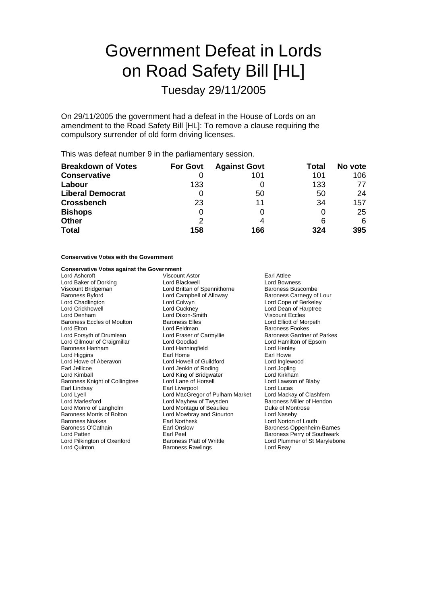# Government Defeat in Lords on Road Safety Bill [HL]

Tuesday 29/11/2005

On 29/11/2005 the government had a defeat in the House of Lords on an amendment to the Road Safety Bill [HL]: To remove a clause requiring the compulsory surrender of old form driving licenses.

This was defeat number 9 in the parliamentary session.

| <b>Breakdown of Votes</b> | <b>For Govt</b> | <b>Against Govt</b> | Total | No vote |
|---------------------------|-----------------|---------------------|-------|---------|
| <b>Conservative</b>       |                 | 101                 | 101   | 106     |
| Labour                    | 133             |                     | 133   | 77      |
| <b>Liberal Democrat</b>   |                 | 50                  | 50    | 24      |
| <b>Crossbench</b>         | 23              | 11                  | 34    | 157     |
| <b>Bishops</b>            |                 |                     |       | 25      |
| <b>Other</b>              | 2               | 4                   | 6     | 6       |
| <b>Total</b>              | 158             | 166                 | 324   | 395     |

### **Conservative Votes with the Government**

### **Conservative Votes against the Government**

| Lord Ashcroft                  | <b>Viscount Astor</b>                                | Earl Attlee                   |  |
|--------------------------------|------------------------------------------------------|-------------------------------|--|
| Lord Baker of Dorking          | Lord Blackwell<br><b>Lord Bowness</b>                |                               |  |
| Viscount Bridgeman             | Lord Brittan of Spennithorne<br>Baroness Buscombe    |                               |  |
| Baroness Byford                | Lord Campbell of Alloway<br>Baroness Carnegy of Lour |                               |  |
| Lord Chadlington               | Lord Colwyn                                          | Lord Cope of Berkeley         |  |
| Lord Crickhowell               | Lord Cuckney                                         | Lord Dean of Harptree         |  |
| Lord Denham                    | Lord Dixon-Smith                                     | <b>Viscount Eccles</b>        |  |
| Baroness Eccles of Moulton     | <b>Baroness Elles</b><br>Lord Elliott of Morpeth     |                               |  |
| Lord Elton                     | Lord Feldman                                         | <b>Baroness Fookes</b>        |  |
| Lord Forsyth of Drumlean       | Lord Fraser of Carmyllie                             | Baroness Gardner of Parkes    |  |
| Lord Gilmour of Craigmillar    | Lord Goodlad                                         | Lord Hamilton of Epsom        |  |
| Baroness Hanham                | Lord Hanningfield                                    | Lord Henley                   |  |
| Lord Higgins                   | Earl Home                                            | Earl Howe                     |  |
| Lord Howe of Aberavon          | Lord Howell of Guildford                             | Lord Inglewood                |  |
| Earl Jellicoe                  | Lord Jenkin of Roding                                | Lord Jopling                  |  |
| Lord Kimball                   | Lord King of Bridgwater                              | Lord Kirkham                  |  |
| Baroness Knight of Collingtree | Lord Lane of Horsell                                 | Lord Lawson of Blaby          |  |
| Earl Lindsay                   | Earl Liverpool                                       | Lord Lucas                    |  |
| Lord Lyell                     | Lord MacGregor of Pulham Market                      | Lord Mackay of Clashfern      |  |
| Lord Marlesford                | Lord Mayhew of Twysden                               | Baroness Miller of Hendon     |  |
| Lord Monro of Langholm         | Lord Montagu of Beaulieu                             | Duke of Montrose              |  |
| Baroness Morris of Bolton      | Lord Mowbray and Stourton                            | Lord Naseby                   |  |
| Baroness Noakes                | <b>Earl Northesk</b>                                 | Lord Norton of Louth          |  |
| Baroness O'Cathain             | Earl Onslow                                          | Baroness Oppenheim-Barnes     |  |
| Lord Patten                    | Earl Peel                                            | Baroness Perry of Southwark   |  |
| Lord Pilkington of Oxenford    | <b>Baroness Platt of Writtle</b>                     | Lord Plummer of St Marylebone |  |
| Lord Quinton                   | <b>Baroness Rawlings</b>                             | Lord Reay                     |  |
|                                |                                                      |                               |  |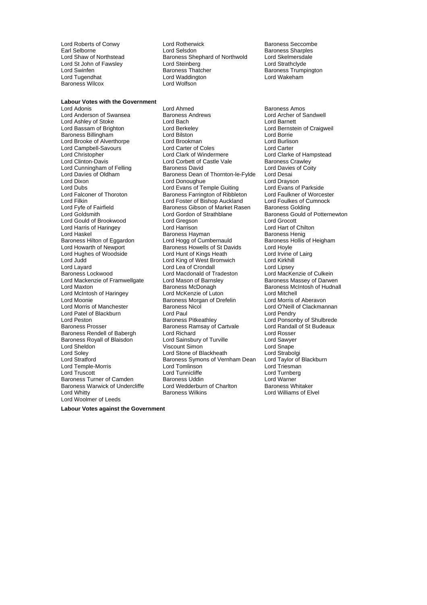Lord St John of Fawsley **Lord Steinberg**<br>
Lord Swinfen **Lord Steinberg**<br>
Baroness Thatcher Baroness Wilcox

**Labour Votes with the Government**

Lord Ashley of Stoke<br>Lord Bassam of Brighton Lord Campbell-Savours Lord Mackenzie of Framwellgate Lord Mason of Barnsl<br>Lord Maxton **Baroness McDonagh** Lord McIntosh of Haringey Lord Patel of Blackburn Lord Paul<br>
Lord Peston Cord Pendry Baroness Pitkeathley Baroness Rendell of Babergh Baroness Warwick of Undercliffe Lord Whitty Baroness Wilkins Lord Williams of Elvel Lord Woolmer of Leeds

Lord Roberts of Conwy Lord Rotherwick and Baroness Seccombe<br>
Earl Selborne **Baroness** Sharples Earl Selborne **Lord Selsdon**<br>
Lord Shaw of Northstead
Baroness Shephard of Northwold
Lord Skelmersdale **Example Shephard** of Northwold
Lord Skelmersdale Exaroness Shephard of Northwold Lord Skelmersdale<br>
Lord Strathclyde Lord Strathclyde Lord Swinfen **Example 2 Section** Baroness Thatcher **Baroness Thatcher Baroness Trumpington**<br>
Baroness Thatcher Baroness Thatcher Baroness That Baroness Trumpington<br>
Lord Tugendhat Lord Waddington<br>Lord Wolfson

Lord Adonis<br>
Lord Anderson of Swansea 
Lord Angel Baroness Andrews
Baroness Amos<br>
Lord Anderson of Swansea

Baroness Andrews

Lord Anderson of Sandwell Lord Anderson of Swansea Baroness Andrews Baroness Andrews Lord Archer of Stoke Lord Barnett<br>
Lord Ashlev of Stoke **Lord Bach** Lord Bach Lord Berkeley **Lord Bernstein of Craigweil**<br>
Lord Bilston **Craigweil**<br>
Lord Borrie Baroness Billingham **Lord Bilston Lord Bornie**<br>
Lord Brooke of Alverthorpe **Lord Brookman** Lord Bornison Lord Burlison Lord Brooke of Alverthorpe Lord Brookman Lord Burlison Lord Burlison Lord Burlison Lord Burlison Lord Burlison<br>Lord Campbell-Savours Lord Carter of Coles Lord Carter Lord Christopher **Lord Clark of Windermere** Lord Clarke of Hampstead<br>
Lord Clinton-Davis **Lord Corbett of Castle Vale** Baroness Crawley Lord Corbett of Castle Vale Baroness Crawley<br>Baroness David Baroness Coity Lord Cunningham of Felling Baroness David Lord Davies Lord Davies Lord Davies Caroless Dean of Thornton-le-Fylde Lord Desai Baroness Dean of Thornton-le-Fylde Lord Dixon **Lord Donoughue** Lord Donoughue Lord Drayson<br>
Lord Dubs **Lord Evans of Temple Guiting** Lord Evans of Parkside Lord Dubs<br>
Lord Evans of Thoroton Lord Evans of Temple Guiting Lord Evans of Parkside<br>
Lord Faulkner of Worcester Baroness Farrington of Ribbleton Lord Faulkner of Worcester **Baroness Farrington of Ribbleton Lord Faulkner of Worcester Cord Faulkner Cord Fourther** Lord Filkin Lord Foster of Bishop Auckland Lord Foulkes of Cumnock Lord Foulkes of Cumnock Cumnock Cord Found<br>Lord Fyfe of Fairfield Cumnock Baroness Gibson of Market Rasen Baroness Golding Lord Fyfe of Fairfield **Baroness Gibson of Market Rasen**<br>Lord Goldsmith **Baroness Colding Cording Cording Cording** Lord Gordon of Strathblane Baroness Gould of Potternewton<br>
Lord Gregson<br>
Lord Grocott Lord Gould of Brookwood Lord Gregson Lord Grocott Lord Harris of Haringey **Lord Harrison**<br>
Lord Haskel **Chilton Baroness Harman**<br>
Baroness Hening Baroness Harman Lord Haskel Consumer Baroness Hayman Baroness Hayman Baroness Henig<br>Baroness Hilton of Eggardon Lord Hogg of Cumbernauld Baroness Hollis of Heigham Baroness Hilton of Eggardon Lord Hogg of Cumbernauld Baroness Hollis Baroness Howells of St Davids Lord Hoyle Baroness Howells of St Davids Lord Hughes of Woodside Lord Hunt of Kings Heath Lord Irvine of Lairg<br>
Lord Judd Lord Irvine Lord King of West Bromwich Lord Kirkhill Lord Judd Lord King of West Bromwich Lord Kirkhill Lord Layard Layard Corol Lord Lea of Crondall Lord Lord Lipsey<br>
Lord Machanald of Tradeston Lord Mackenzie of Culkein Lord Macdonald of Tradeston Lord MacKenzie of Culkein<br>Lord Mason of Barnsley Baroness Massey of Darwen Baroness McDonagh Baroness McIntosh of Hudnall<br>
Lord McKenzie of Luton<br>
Lord Mitchell Lord Moonie **Baroness Morgan of Drefelin** Lord Morris of Aberavon<br>
Lord Morris of Manchester **Baroness Nicol** Baroness Nicol Lord O'Neill of Clackman Baroness Nicol **Morris of Manchester Baroness Nicol Lord O'Neill of Clackmannan**<br>
Lord Pendry Lord Peston **Exercise State Baroness Pitkeathley Lord Ponsonby of Shulbrede**<br>Baroness Prosser **Baroness Ramsay of Cartvale** Lord Randall of St Budeaux Baroness Ramsay of Cartvale Lord Randall<br>
Lord Richard Cord Budeaux Baroness Royall of Blaisdon **Lord Sainsbury of Turville** Lord Sawyer Lord Sheldon **Carlo Communist Communist Communist Communist Communist Communist Communist Communist Communist Communist Communist Communist Communist Communist Communist Communist Communist Communist Communist Communist Co** Lord Soley Lord Stone of Blackheath Lord Strabolgi Baroness Symons of Vernham Dean Lord Taylor of Lord Tomlinson Lord Temple-Morris Lord Tomlinson Lord Triesman Lord Tunnicliffe Baroness Turner of Camden Baroness Uddin Naroness University Cord Warner<br>Baroness Warwick of Undercliffe Lord Wedderburn of Charlton Baroness Whitaker

**Labour Votes against the Government**